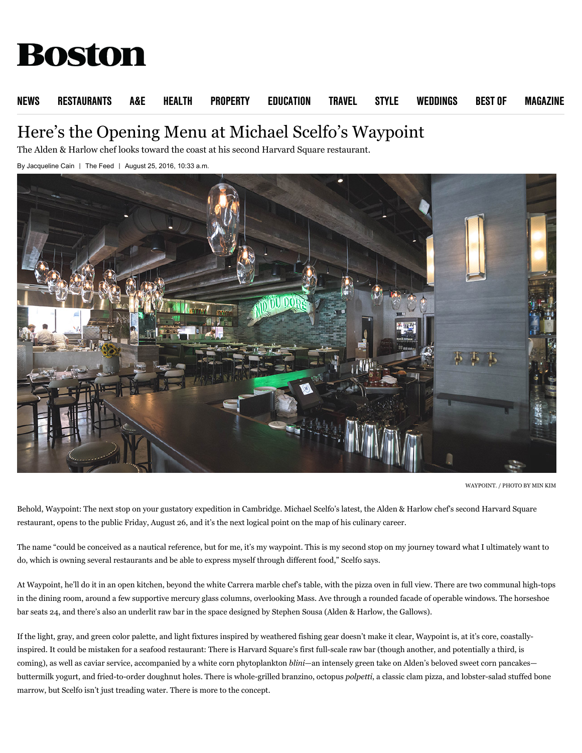# **Boston**

### [NEWS](http://www.bostonmagazine.com/news) [RESTAURANTS](http://www.bostonmagazine.com/restaurants/) [A&E](http://www.bostonmagazine.com/arts-entertainment/) [HEALTH](http://www.bostonmagazine.com/health/) [PROPERTY](http://www.bostonmagazine.com/property) [EDUCATION](http://www.bostonmagazine.com/education) [TRAVEL](http://www.bostonmagazine.com/travel/) [STYLE](http://www.bostonmagazine.com/fashion-style/) [WEDDINGS](http://www.bostonmagazine.com/weddings/) [BEST OF](http://www.bostonmagazine.com/best-of-boston/) [MAGAZINE](http://www.bostonmagazine.com/magazine-archive/)

# Here's the Opening Menu at Michael Scelfo's Waypoint

The Alden & Harlow chef looks toward the coast at his second Harvard Square restaurant.

By [Jacqueline Cain](http://www.bostonmagazine.com/author/jcain/) | [The Feed](http://www.bostonmagazine.com/restaurants/blog/) | August 25, 2016, 10:33 a.m.



WAYPOINT. / PHOTO BY MIN KIM

Behold, Waypoint: The next stop on your gustatory expedition in Cambridge. Michael Scelfo's latest, the [Alden & Harlow](http://www.bestofboston.com/winner/best-restaurant-general-excellence/alden-harlow/) chef's second Harvard Square restaurant, opens to the public Friday, August 26, and it's the next logical point on the map of his culinary career.

The name "could be conceived as a nautical reference, but for me, it's my waypoint. This is my second stop on my journey toward what I ultimately want to do, which is owning several restaurants and be able to express myself through different food," Scelfo says.

At Waypoint, he'll do it in an open kitchen, beyond the white Carrera marble chef's table, with the pizza oven in full view. There are two communal high-tops in the dining room, around a few supportive mercury glass columns, overlooking Mass. Ave through a rounded facade of operable windows. The horseshoe bar seats 24, and there's also an underlit raw bar in the space [designed](http://boston.eater.com/2016/8/25/12639126/waypoint-cambridge-gallery) by Stephen Sousa (Alden & Harlow, the Gallows).

If the light, gray, and green color palette, and light fixtures inspired by weathered fishing gear doesn't make it clear, Waypoint is, at it's core, coastallyinspired. It could be mistaken for a [seafood restaurant](http://www.improper.com/food-drink/tides-in/): There is Harvard Square's first full-scale raw bar (though [another](http://bostonrestaurants.blogspot.com/2015/09/dunster-restaurant-plans-to-open-in.html), and [potentially a third,](http://www.bostonmagazine.com/restaurants/blog/2016/03/21/island-creek-oyster-team-harvard-square-winter-2016/) is coming), as well as caviar service, accompanied by a white corn phytoplankton *blini*—an intensely green take on Alden's beloved sweet corn pancakes buttermilk yogurt, and fried-to-order doughnut holes. There is whole-grilled branzino, octopus *polpetti*, a classic clam pizza, and lobster-salad stuffed bone marrow, but Scelfo isn't just treading water. There is more to the concept.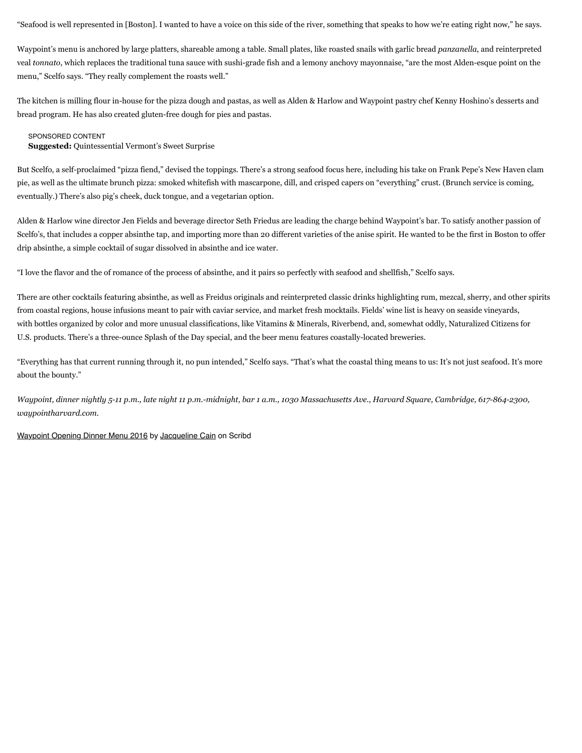"Seafood is well represented in [Boston]. I wanted to have a voice on this side of the river, something that speaks to how we're eating right now," he says.

Waypoint's menu is anchored by large platters, shareable among a table. Small plates, like roasted snails with garlic bread *panzanella*, and reinterpreted veal *tonnato*, which replaces the traditional tuna sauce with sushi-grade fish and a lemony anchovy mayonnaise, "are the most Alden-esque point on the menu," Scelfo says. "They really complement the roasts well."

The kitchen is milling flour in-house for the pizza dough and pastas, as well as Alden & Harlow and Waypoint [pastry chef](http://www.bostonmagazine.com/restaurants/blog/2016/08/02/snack-attack-sweet-corn-spooncake-alden-harlow/) Kenny Hoshino's desserts and bread program. He has also created gluten-free dough for pies and pastas.

#### SPONSORED CONTENT

**Suggested:** [Quintessential Vermont's Sweet Surprise](http://www.bostonmagazine.com/sponsor-content/quintessential-vermonts-sweet-surprise/)

But Scelfo, a self-proclaimed "pizza fiend," devised [the toppings](http://www.bostonmagazine.com/restaurants/article/2016/06/05/new-pizzas-boston/). There's a strong seafood focus here, including his take on Frank Pepe's New Haven clam pie, as well as the ultimate brunch pizza: smoked whitefish with mascarpone, dill, and crisped capers on "everything" crust. (Brunch service is coming, eventually.) There's also pig's cheek, duck tongue, and a vegetarian option.

Alden & Harlow wine director Jen Fields and beverage director Seth Friedus are leading the charge behind Waypoint's bar. To satisfy another passion of Scelfo's, that includes a copper absinthe tap, and importing more than 20 different varieties of the anise spirit. He wanted to be the first in Boston to offer drip absinthe, a simple cocktail of sugar dissolved in absinthe and ice water.

"I love the flavor and the of romance of the process of absinthe, and it pairs so perfectly with seafood and shellfish," Scelfo says.

There are other cocktails featuring absinthe, as well as Freidus originals and reinterpreted classic drinks highlighting rum, mezcal, sherry, and other spirits from coastal regions, house infusions meant to pair with caviar service, and market fresh mocktails. Fields' wine list is heavy on seaside vineyards, with bottles organized by color and more unusual classifications, like Vitamins & Minerals, Riverbend, and, somewhat oddly, Naturalized Citizens for U.S. products. There's a three-ounce Splash of the Day special, and the beer menu features coastally-located breweries.

"Everything has that current running through it, no pun intended," Scelfo says. "That's what the coastal thing means to us: It's not just seafood. It's more about the bounty."

*Waypoint, dinner nightly 5-11 p.m., late night 11 p.m.-midnight, bar 1 a.m., 1030 Massachusetts Ave., Harvard Square, Cambridge, 617-864-2300, [waypointharvard.com.](http://www.waypointharvard.com/)*

[Waypoint Opening Dinner Menu 2016](https://www.scribd.com/document/322148838/Waypoint-Opening-Dinner-Menu-2016#from_embed) by [Jacqueline Cain](https://www.scribd.com/user/56485259/Jacqueline-Cain#from_embed) on Scribd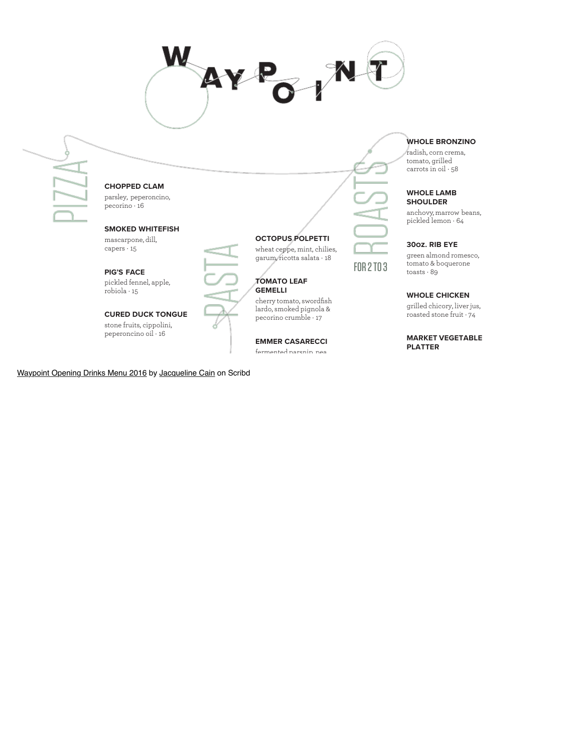

CURED DUCK TONGUE stone fruits, cippolini, peperoncino oil · 16

[Waypoint Opening Drinks Menu 2016](https://www.scribd.com/document/322149322/Waypoint-Opening-Drinks-Menu-2016#from_embed) by [Jacqueline Cain](https://www.scribd.com/user/56485259/Jacqueline-Cain#from_embed) on Scribd

pecorino crumble · 17

EMMER CASARECCI fermented parsnip, pea

grilled chicory, liver jus, roasted stone fruit · 74

MARKET VEGETABLE PLATTER